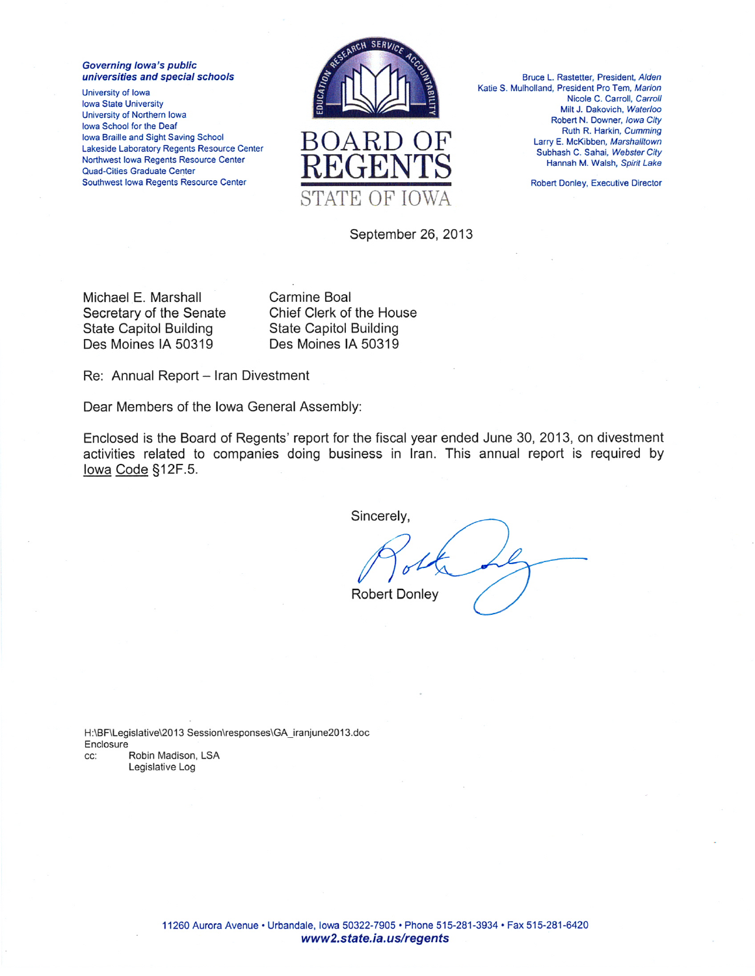**Governing lowa's public** universities and special schools

University of Iowa **Iowa State University** University of Northern Iowa Iowa School for the Deaf Iowa Braille and Sight Saving School Lakeside Laboratory Regents Resource Center Northwest Iowa Regents Resource Center **Quad-Cities Graduate Center** Southwest Iowa Regents Resource Center



Bruce L. Rastetter, President, Alden Katie S. Mulholland, President Pro Tem, Marion Nicole C. Carroll, Carroll Milt J. Dakovich, Waterloo Robert N. Downer, Iowa City Ruth R. Harkin, Cumming Larry E. McKibben, Marshalltown Subhash C. Sahai, Webster City Hannah M. Walsh, Spirit Lake

**Robert Donley, Executive Director** 

September 26, 2013

Michael E. Marshall Secretary of the Senate **State Capitol Building** Des Moines IA 50319

Carmine Boal Chief Clerk of the House **State Capitol Building** Des Moines IA 50319

Re: Annual Report - Iran Divestment

Dear Members of the Iowa General Assembly:

Enclosed is the Board of Regents' report for the fiscal year ended June 30, 2013, on divestment activities related to companies doing business in Iran. This annual report is required by lowa Code §12F.5.

Sincerely,

**Robert Donley** 

H:\BF\Legislative\2013 Session\responses\GA iranjune2013.doc Enclosure Robin Madison, LSA CC: Legislative Log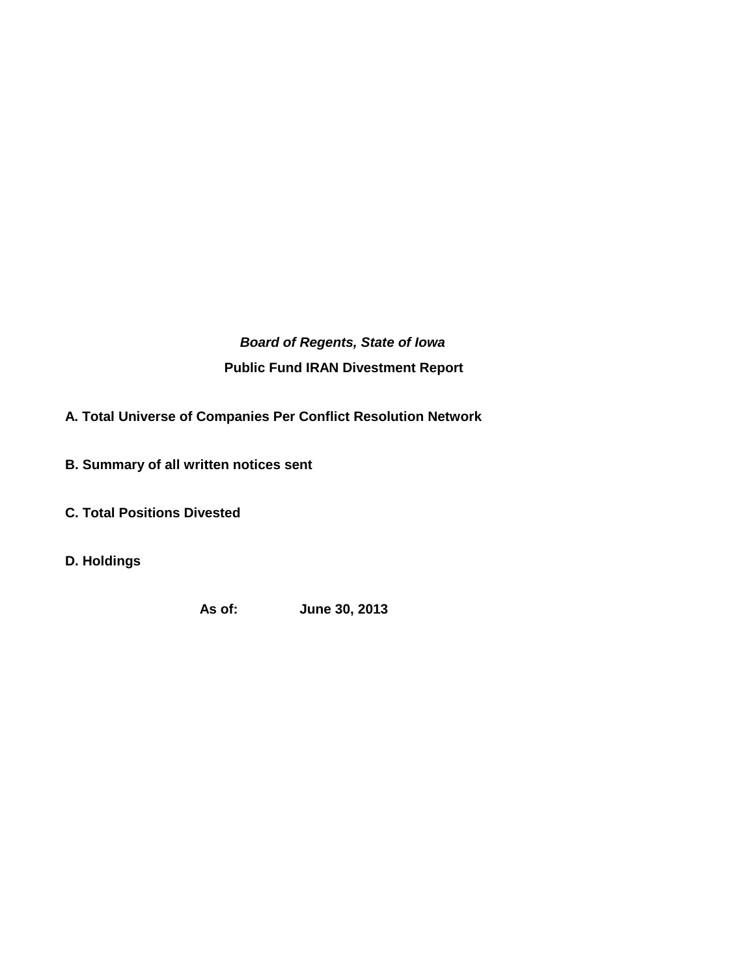*Board of Regents, State of Iowa* **Public Fund IRAN Divestment Report**

**A. Total Universe of Companies Per Conflict Resolution Network** 

- **B. Summary of all written notices sent**
- **C. Total Positions Divested**
- **D. Holdings**

**As of: June 30, 2013**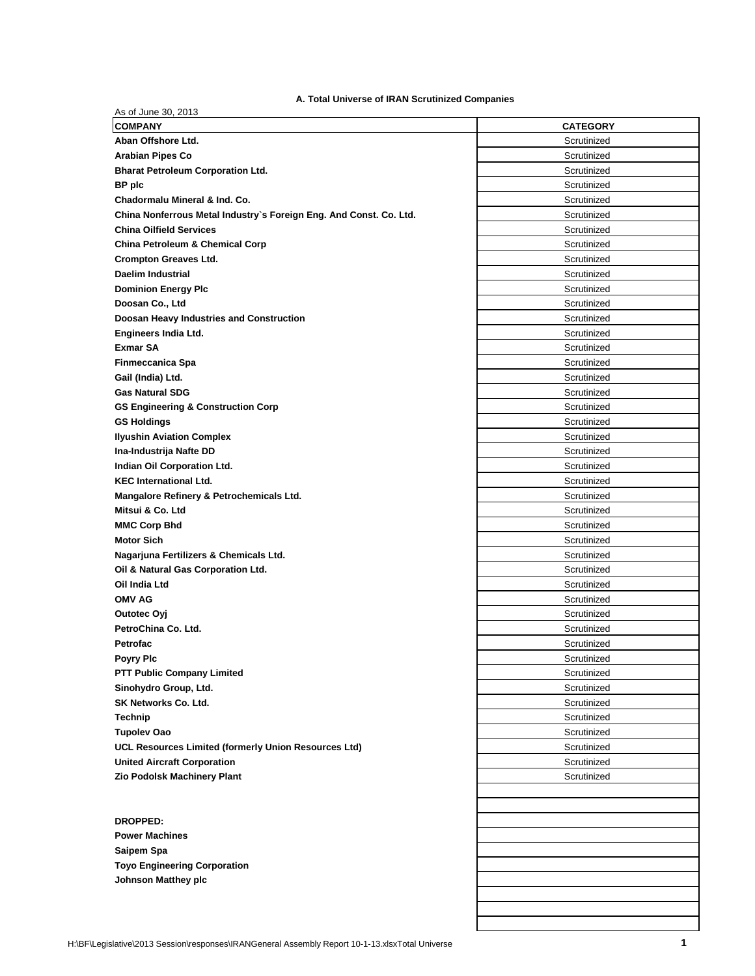## **A. Total Universe of IRAN Scrutinized Companies**

| <b>COMPANY</b>                                                     | <b>CATEGORY</b> |
|--------------------------------------------------------------------|-----------------|
| Aban Offshore Ltd.                                                 | Scrutinized     |
| <b>Arabian Pipes Co</b>                                            | Scrutinized     |
| <b>Bharat Petroleum Corporation Ltd.</b>                           | Scrutinized     |
| <b>BP</b> plc                                                      | Scrutinized     |
| Chadormalu Mineral & Ind. Co.                                      | Scrutinized     |
| China Nonferrous Metal Industry's Foreign Eng. And Const. Co. Ltd. | Scrutinized     |
| <b>China Oilfield Services</b>                                     | Scrutinized     |
| <b>China Petroleum &amp; Chemical Corp</b>                         | Scrutinized     |
| <b>Crompton Greaves Ltd.</b>                                       | Scrutinized     |
| Daelim Industrial                                                  | Scrutinized     |
| <b>Dominion Energy Plc</b>                                         | Scrutinized     |
| Doosan Co., Ltd                                                    | Scrutinized     |
| Doosan Heavy Industries and Construction                           | Scrutinized     |
| Engineers India Ltd.                                               | Scrutinized     |
| <b>Exmar SA</b>                                                    | Scrutinized     |
| Finmeccanica Spa                                                   | Scrutinized     |
| Gail (India) Ltd.                                                  | Scrutinized     |
| <b>Gas Natural SDG</b>                                             | Scrutinized     |
| <b>GS Engineering &amp; Construction Corp</b>                      | Scrutinized     |
| <b>GS Holdings</b>                                                 | Scrutinized     |
| <b>Ilyushin Aviation Complex</b>                                   | Scrutinized     |
| Ina-Industrija Nafte DD                                            | Scrutinized     |
| Indian Oil Corporation Ltd.                                        | Scrutinized     |
| <b>KEC International Ltd.</b>                                      | Scrutinized     |
| Mangalore Refinery & Petrochemicals Ltd.                           | Scrutinized     |
| Mitsui & Co. Ltd                                                   | Scrutinized     |
| <b>MMC Corp Bhd</b>                                                | Scrutinized     |
| <b>Motor Sich</b>                                                  | Scrutinized     |
|                                                                    | Scrutinized     |
| Nagarjuna Fertilizers & Chemicals Ltd.                             | Scrutinized     |
| Oil & Natural Gas Corporation Ltd.<br>Oil India Ltd                | Scrutinized     |
| <b>OMV AG</b>                                                      | Scrutinized     |
|                                                                    |                 |
| Outotec Oyj                                                        | Scrutinized     |
| PetroChina Co. Ltd.                                                | Scrutinized     |
| Petrofac                                                           | Scrutinized     |
| <b>Poyry Pic</b>                                                   | Scrutinized     |
| <b>PTT Public Company Limited</b>                                  | Scrutinized     |
| Sinohydro Group, Ltd.                                              | Scrutinized     |
| SK Networks Co. Ltd.                                               | Scrutinized     |
| Technip                                                            | Scrutinized     |
| <b>Tupolev Oao</b>                                                 | Scrutinized     |
| UCL Resources Limited (formerly Union Resources Ltd)               | Scrutinized     |
| <b>United Aircraft Corporation</b>                                 | Scrutinized     |
| Zio Podolsk Machinery Plant                                        | Scrutinized     |
|                                                                    |                 |
|                                                                    |                 |
| <b>DROPPED:</b>                                                    |                 |
| <b>Power Machines</b>                                              |                 |
| Saipem Spa                                                         |                 |
| <b>Toyo Engineering Corporation</b>                                |                 |
|                                                                    |                 |
| <b>Johnson Matthey plc</b>                                         |                 |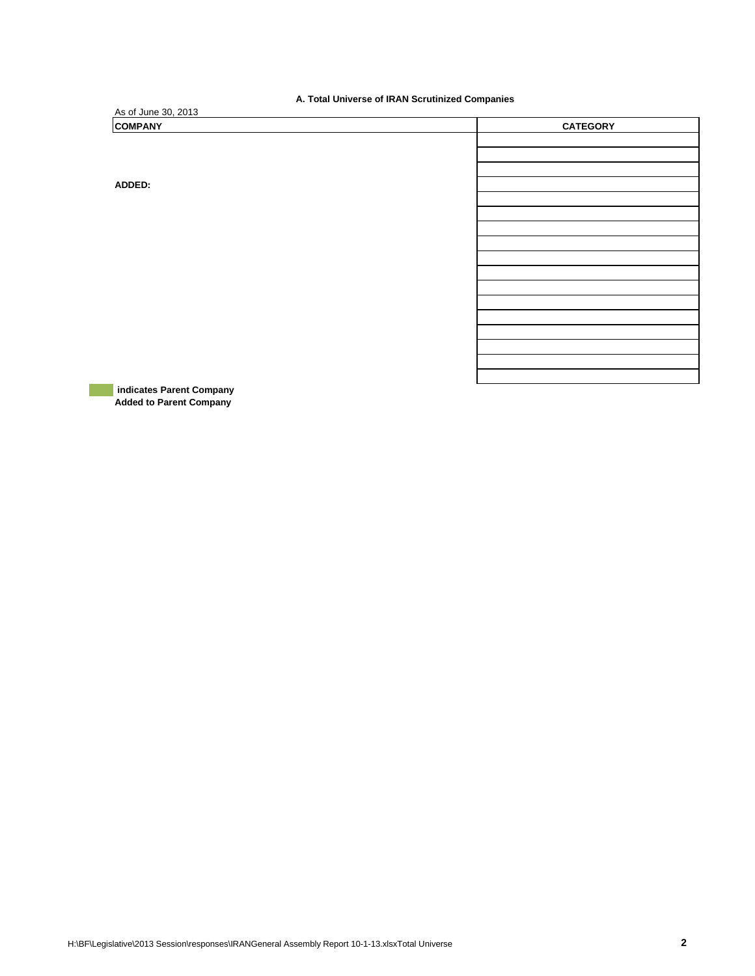**A. Total Universe of IRAN Scrutinized Companies** 

| A: Total Universe of IRAN Cordinated Companies |                 |  |  |  |  |  |
|------------------------------------------------|-----------------|--|--|--|--|--|
| As of June 30, 2013                            |                 |  |  |  |  |  |
| <b>COMPANY</b>                                 | <b>CATEGORY</b> |  |  |  |  |  |
|                                                |                 |  |  |  |  |  |
|                                                |                 |  |  |  |  |  |
|                                                |                 |  |  |  |  |  |
| ADDED:                                         |                 |  |  |  |  |  |
|                                                |                 |  |  |  |  |  |
|                                                |                 |  |  |  |  |  |
|                                                |                 |  |  |  |  |  |
|                                                |                 |  |  |  |  |  |
|                                                |                 |  |  |  |  |  |
|                                                |                 |  |  |  |  |  |
|                                                |                 |  |  |  |  |  |
|                                                |                 |  |  |  |  |  |
|                                                |                 |  |  |  |  |  |
|                                                |                 |  |  |  |  |  |
|                                                |                 |  |  |  |  |  |
|                                                |                 |  |  |  |  |  |
|                                                |                 |  |  |  |  |  |

 **indicates Parent Company Added to Parent Company**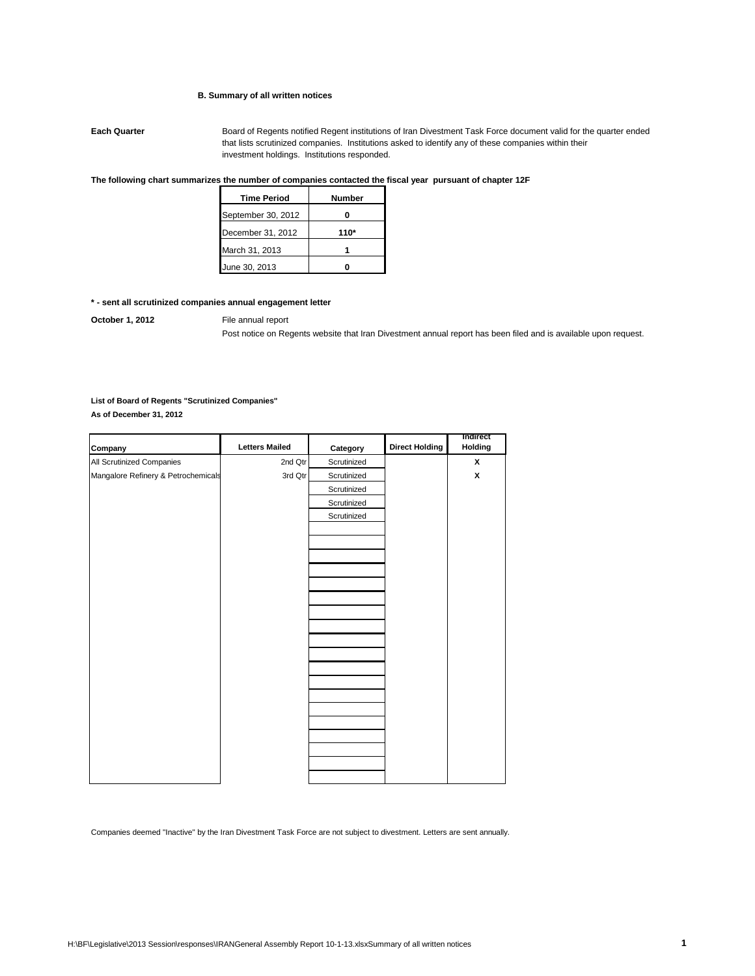### **B. Summary of all written notices**

**Each Quarter** Board of Regents notified Regent institutions of Iran Divestment Task Force document valid for the quarter ended that lists scrutinized companies. Institutions asked to identify any of these companies within their investment holdings. Institutions responded.

#### **The following chart summarizes the number of companies contacted the fiscal year pursuant of chapter 12F**

| <b>Time Period</b> | Number |  |  |
|--------------------|--------|--|--|
| September 30, 2012 |        |  |  |
| December 31, 2012  | $110*$ |  |  |
| March 31, 2013     |        |  |  |
| June 30, 2013      |        |  |  |

## **\* - sent all scrutinized companies annual engagement letter**

**October 1, 2012** File annual report

Post notice on Regents website that Iran Divestment annual report has been filed and is available upon request.

### **List of Board of Regents "Scrutinized Companies"**

**As of December 31, 2012**

| Company                             | <b>Letters Mailed</b> | Category    | <b>Direct Holding</b> | <b>Indirect</b><br>Holding |
|-------------------------------------|-----------------------|-------------|-----------------------|----------------------------|
| All Scrutinized Companies           | 2nd Qtr               | Scrutinized |                       | X                          |
| Mangalore Refinery & Petrochemicals | 3rd Qtr               | Scrutinized |                       | X                          |
|                                     |                       | Scrutinized |                       |                            |
|                                     |                       | Scrutinized |                       |                            |
|                                     |                       | Scrutinized |                       |                            |
|                                     |                       |             |                       |                            |
|                                     |                       |             |                       |                            |
|                                     |                       |             |                       |                            |
|                                     |                       |             |                       |                            |
|                                     |                       |             |                       |                            |
|                                     |                       |             |                       |                            |
|                                     |                       |             |                       |                            |
|                                     |                       |             |                       |                            |
|                                     |                       |             |                       |                            |
|                                     |                       |             |                       |                            |
|                                     |                       |             |                       |                            |
|                                     |                       |             |                       |                            |
|                                     |                       |             |                       |                            |
|                                     |                       |             |                       |                            |
|                                     |                       |             |                       |                            |
|                                     |                       |             |                       |                            |
|                                     |                       |             |                       |                            |
|                                     |                       |             |                       |                            |
|                                     |                       |             |                       |                            |

Companies deemed "Inactive" by the Iran Divestment Task Force are not subject to divestment. Letters are sent annually.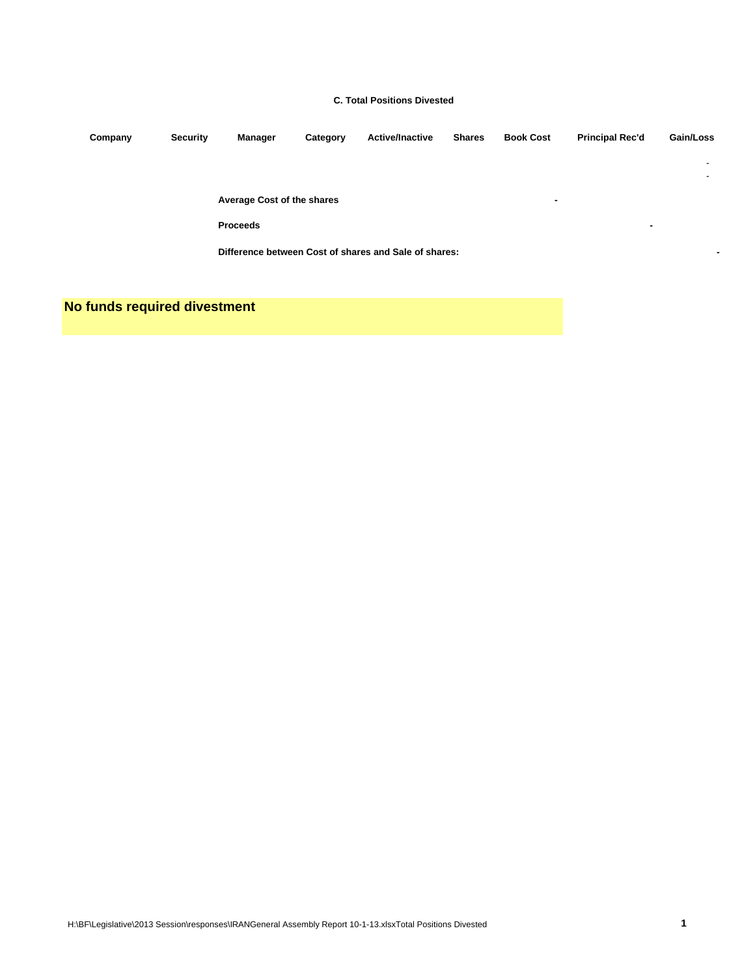#### **C. Total Positions Divested**

| Company | <b>Security</b> | Manager                                               | Category | <b>Active/Inactive</b> | <b>Shares</b> | <b>Book Cost</b> | <b>Principal Rec'd</b> | Gain/Loss |
|---------|-----------------|-------------------------------------------------------|----------|------------------------|---------------|------------------|------------------------|-----------|
|         |                 |                                                       |          |                        |               |                  |                        |           |
|         |                 |                                                       |          |                        |               |                  |                        | ٠         |
|         |                 | Average Cost of the shares                            |          |                        |               | $\blacksquare$   |                        |           |
|         |                 | <b>Proceeds</b>                                       |          |                        |               |                  | $\blacksquare$         |           |
|         |                 | Difference between Cost of shares and Sale of shares: |          |                        |               |                  | $\blacksquare$         |           |
|         |                 |                                                       |          |                        |               |                  |                        |           |

**No funds required divestment**